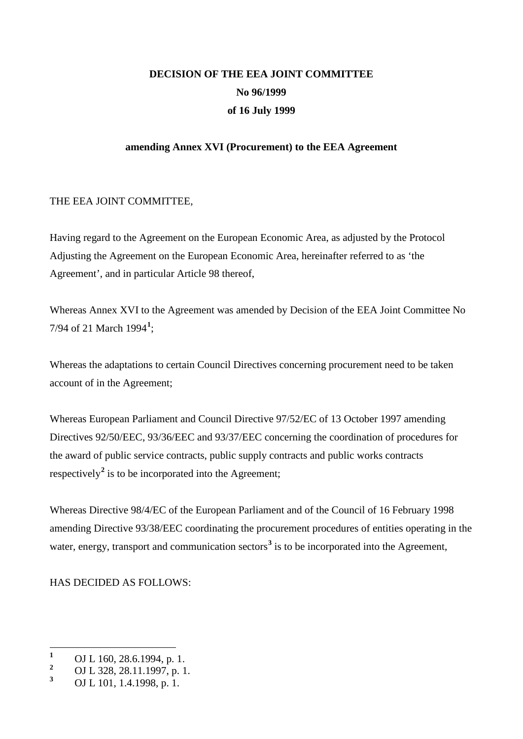## **DECISION OF THE EEA JOINT COMMITTEE No 96/1999 of 16 July 1999**

#### **amending Annex XVI (Procurement) to the EEA Agreement**

#### THE EEA JOINT COMMITTEE,

Having regard to the Agreement on the European Economic Area, as adjusted by the Protocol Adjusting the Agreement on the European Economic Area, hereinafter referred to as 'the Agreement', and in particular Article 98 thereof,

Whereas Annex XVI to the Agreement was amended by Decision of the EEA Joint Committee No 7/94 of 21 March 1994**[1](#page-0-0)** ;

Whereas the adaptations to certain Council Directives concerning procurement need to be taken account of in the Agreement;

Whereas European Parliament and Council Directive 97/52/EC of 13 October 1997 amending Directives 92/50/EEC, 93/36/EEC and 93/37/EEC concerning the coordination of procedures for the award of public service contracts, public supply contracts and public works contracts respectively<sup>[2](#page-0-1)</sup> is to be incorporated into the Agreement;

Whereas Directive 98/4/EC of the European Parliament and of the Council of 16 February 1998 amending Directive 93/38/EEC coordinating the procurement procedures of entities operating in the water, energy, transport and communication sectors<sup>[3](#page-0-2)</sup> is to be incorporated into the Agreement,

HAS DECIDED AS FOLLOWS:

<span id="page-0-0"></span>**<sup>1</sup>** OJ L 160, 28.6.1994, p. 1.<br>2 OJ L 228, 28, 11, 1007, p. 1.

<span id="page-0-1"></span><sup>&</sup>lt;sup>2</sup> OJ L 328, 28.11.1997, p. 1.

<span id="page-0-2"></span>**<sup>3</sup>** OJ L 101, 1.4.1998, p. 1.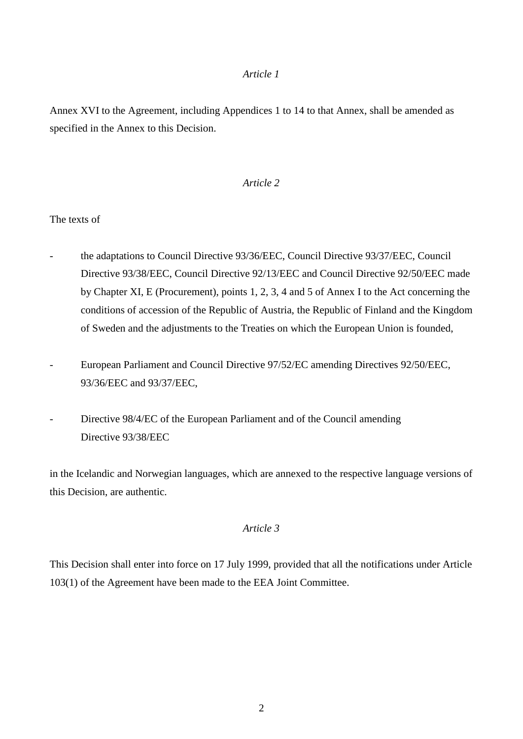Annex XVI to the Agreement, including Appendices 1 to 14 to that Annex, shall be amended as specified in the Annex to this Decision.

#### *Article 2*

The texts of

- the adaptations to Council Directive 93/36/EEC, Council Directive 93/37/EEC, Council Directive 93/38/EEC, Council Directive 92/13/EEC and Council Directive 92/50/EEC made by Chapter XI, E (Procurement), points 1, 2, 3, 4 and 5 of Annex I to the Act concerning the conditions of accession of the Republic of Austria, the Republic of Finland and the Kingdom of Sweden and the adjustments to the Treaties on which the European Union is founded,
- European Parliament and Council Directive 97/52/EC amending Directives 92/50/EEC, 93/36/EEC and 93/37/EEC,
- Directive 98/4/EC of the European Parliament and of the Council amending Directive 93/38/EEC

in the Icelandic and Norwegian languages, which are annexed to the respective language versions of this Decision, are authentic.

#### *Article 3*

This Decision shall enter into force on 17 July 1999, provided that all the notifications under Article 103(1) of the Agreement have been made to the EEA Joint Committee.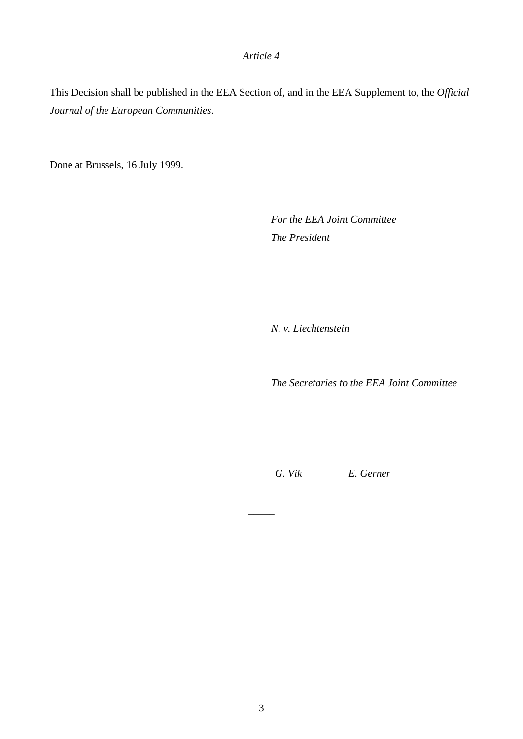This Decision shall be published in the EEA Section of, and in the EEA Supplement to, the *Official Journal of the European Communities*.

Done at Brussels, 16 July 1999.

*For the EEA Joint Committee The President*

*N. v. Liechtenstein*

*The Secretaries to the EEA Joint Committee*

*G. Vik E. Gerner*

 $\overline{\phantom{a}}$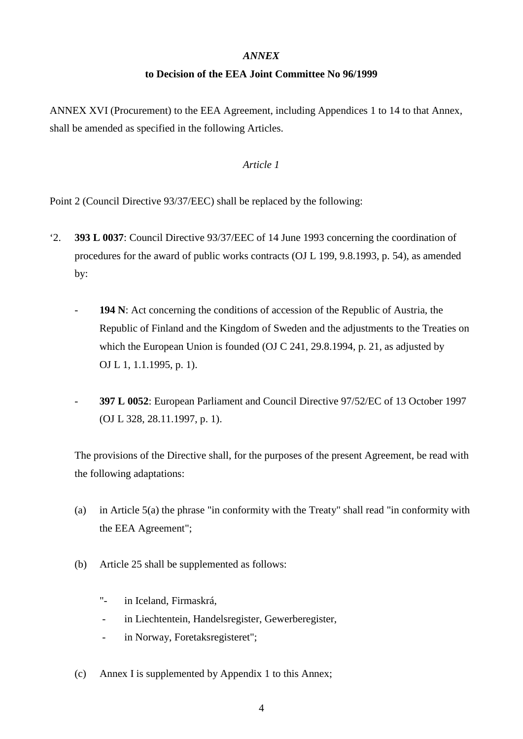#### *ANNEX*

#### **to Decision of the EEA Joint Committee No 96/1999**

ANNEX XVI (Procurement) to the EEA Agreement, including Appendices 1 to 14 to that Annex, shall be amended as specified in the following Articles.

#### *Article 1*

Point 2 (Council Directive 93/37/EEC) shall be replaced by the following:

- '2. **393 L 0037**: Council Directive 93/37/EEC of 14 June 1993 concerning the coordination of procedures for the award of public works contracts (OJ L 199, 9.8.1993, p. 54), as amended by:
	- **194 N**: Act concerning the conditions of accession of the Republic of Austria, the Republic of Finland and the Kingdom of Sweden and the adjustments to the Treaties on which the European Union is founded (OJ C 241, 29.8.1994, p. 21, as adjusted by OJ L 1, 1.1.1995, p. 1).
	- **397 L 0052**: European Parliament and Council Directive 97/52/EC of 13 October 1997 (OJ L 328, 28.11.1997, p. 1).

The provisions of the Directive shall, for the purposes of the present Agreement, be read with the following adaptations:

- (a) in Article 5(a) the phrase "in conformity with the Treaty" shall read "in conformity with the EEA Agreement";
- (b) Article 25 shall be supplemented as follows:
	- "- in Iceland, Firmaskrá,
	- in Liechtentein, Handelsregister, Gewerberegister,
	- in Norway, Foretaksregisteret";
- (c) Annex I is supplemented by Appendix 1 to this Annex;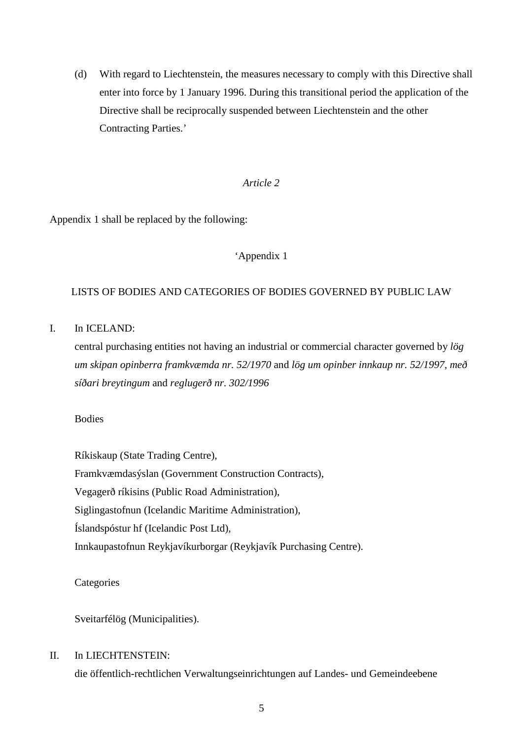(d) With regard to Liechtenstein, the measures necessary to comply with this Directive shall enter into force by 1 January 1996. During this transitional period the application of the Directive shall be reciprocally suspended between Liechtenstein and the other Contracting Parties.'

#### *Article 2*

Appendix 1 shall be replaced by the following:

#### 'Appendix 1

#### LISTS OF BODIES AND CATEGORIES OF BODIES GOVERNED BY PUBLIC LAW

I. In ICELAND:

central purchasing entities not having an industrial or commercial character governed by *lög um skipan opinberra framkvæmda nr. 52/1970* and *lög um opinber innkaup nr. 52/1997, með síðari breytingum* and *reglugerð nr. 302/1996*

#### Bodies

Ríkiskaup (State Trading Centre), Framkvæmdasýslan (Government Construction Contracts), Vegagerð ríkisins (Public Road Administration), Siglingastofnun (Icelandic Maritime Administration), Íslandspóstur hf (Icelandic Post Ltd), Innkaupastofnun Reykjavíkurborgar (Reykjavík Purchasing Centre).

**Categories** 

Sveitarfélög (Municipalities).

#### II. In LIECHTENSTEIN:

die öffentlich-rechtlichen Verwaltungseinrichtungen auf Landes- und Gemeindeebene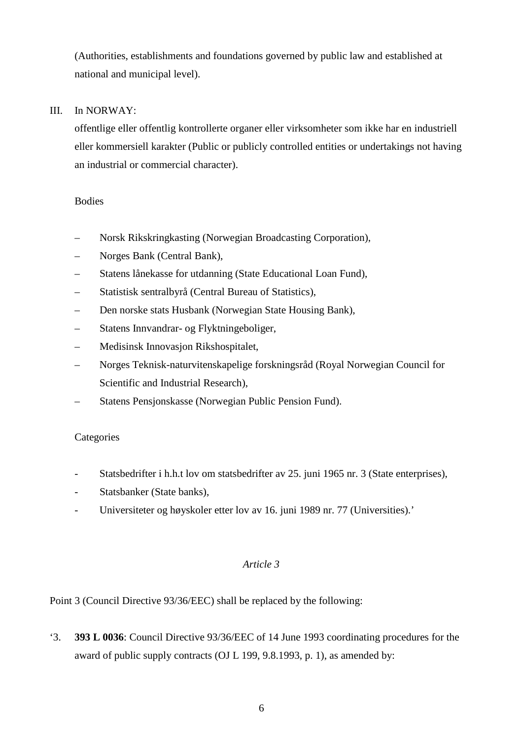(Authorities, establishments and foundations governed by public law and established at national and municipal level).

### III. In NORWAY:

offentlige eller offentlig kontrollerte organer eller virksomheter som ikke har en industriell eller kommersiell karakter (Public or publicly controlled entities or undertakings not having an industrial or commercial character).

### Bodies

- Norsk Rikskringkasting (Norwegian Broadcasting Corporation),
- Norges Bank (Central Bank),
- Statens lånekasse for utdanning (State Educational Loan Fund),
- Statistisk sentralbyrå (Central Bureau of Statistics),
- Den norske stats Husbank (Norwegian State Housing Bank),
- Statens Innvandrar- og Flyktningeboliger,
- Medisinsk Innovasjon Rikshospitalet,
- Norges Teknisk-naturvitenskapelige forskningsråd (Royal Norwegian Council for Scientific and Industrial Research),
- Statens Pensjonskasse (Norwegian Public Pension Fund).

#### **Categories**

- Statsbedrifter i h.h.t lov om statsbedrifter av 25. juni 1965 nr. 3 (State enterprises),
- Statsbanker (State banks),
- Universiteter og høyskoler etter lov av 16. juni 1989 nr. 77 (Universities).'

#### *Article 3*

Point 3 (Council Directive 93/36/EEC) shall be replaced by the following:

'3. **393 L 0036**: Council Directive 93/36/EEC of 14 June 1993 coordinating procedures for the award of public supply contracts (OJ L 199, 9.8.1993, p. 1), as amended by: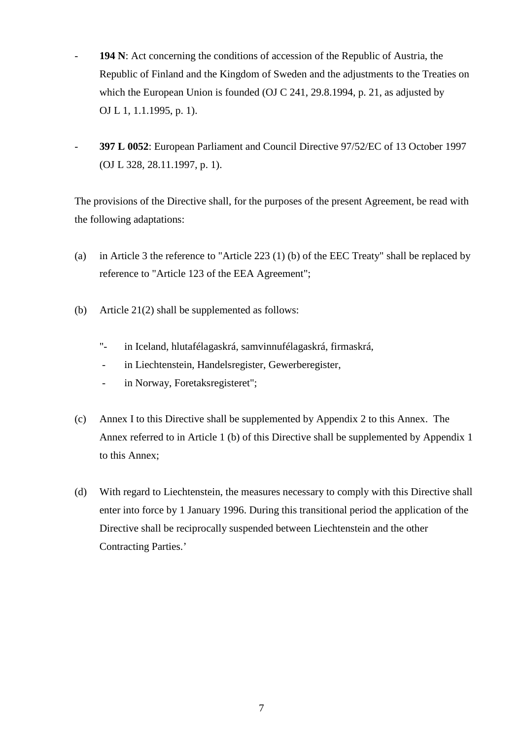- **194 N**: Act concerning the conditions of accession of the Republic of Austria, the Republic of Finland and the Kingdom of Sweden and the adjustments to the Treaties on which the European Union is founded (OJ C 241, 29.8.1994, p. 21, as adjusted by OJ L 1, 1.1.1995, p. 1).
- **397 L 0052**: European Parliament and Council Directive 97/52/EC of 13 October 1997 (OJ L 328, 28.11.1997, p. 1).

The provisions of the Directive shall, for the purposes of the present Agreement, be read with the following adaptations:

- (a) in Article 3 the reference to "Article 223 (1) (b) of the EEC Treaty" shall be replaced by reference to "Article 123 of the EEA Agreement";
- (b) Article 21(2) shall be supplemented as follows:
	- "- in Iceland, hlutafélagaskrá, samvinnufélagaskrá, firmaskrá,
	- in Liechtenstein, Handelsregister, Gewerberegister,
	- in Norway, Foretaksregisteret";
- (c) Annex I to this Directive shall be supplemented by Appendix 2 to this Annex. The Annex referred to in Article 1 (b) of this Directive shall be supplemented by Appendix 1 to this Annex;
- (d) With regard to Liechtenstein, the measures necessary to comply with this Directive shall enter into force by 1 January 1996. During this transitional period the application of the Directive shall be reciprocally suspended between Liechtenstein and the other Contracting Parties.'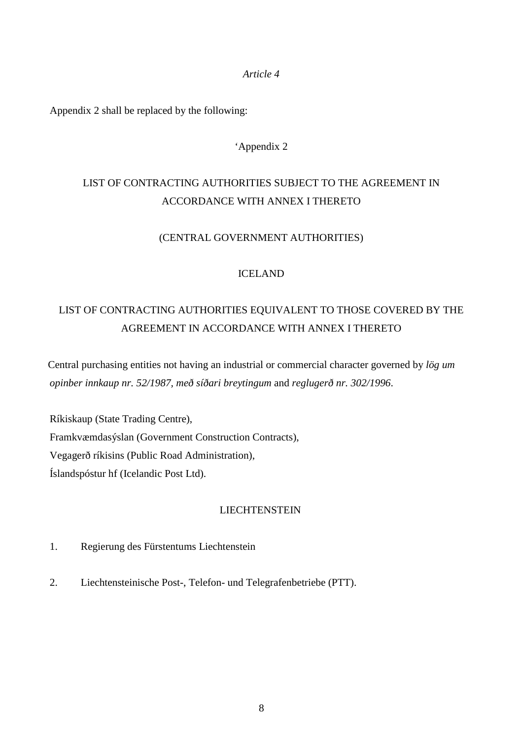Appendix 2 shall be replaced by the following:

#### 'Appendix 2

## LIST OF CONTRACTING AUTHORITIES SUBJECT TO THE AGREEMENT IN ACCORDANCE WITH ANNEX I THERETO

#### (CENTRAL GOVERNMENT AUTHORITIES)

#### ICELAND

## LIST OF CONTRACTING AUTHORITIES EQUIVALENT TO THOSE COVERED BY THE AGREEMENT IN ACCORDANCE WITH ANNEX I THERETO

Central purchasing entities not having an industrial or commercial character governed by *lög um opinber innkaup nr. 52/1987, með síðari breytingum* and *reglugerð nr. 302/1996*.

Ríkiskaup (State Trading Centre), Framkvæmdasýslan (Government Construction Contracts), Vegagerð ríkisins (Public Road Administration), Íslandspóstur hf (Icelandic Post Ltd).

#### **LIECHTENSTEIN**

- 1. Regierung des Fürstentums Liechtenstein
- 2. Liechtensteinische Post-, Telefon- und Telegrafenbetriebe (PTT).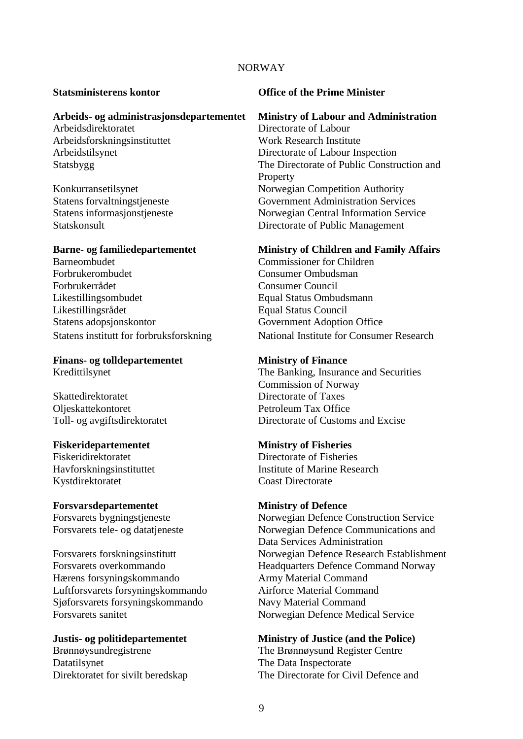#### NORWAY

# **Arbeids- og administrasjonsdepartementet Ministry of Labour and Administration**

Arbeidsdirektoratet Arbeidsforskningsinstituttet Work Research Institute

Barneombudet Commissioner for Children<br>Forbrukerombudet Consumer Ombudsman Forbrukerrådet Consumer Council Likestillingsombudet Equal Status Ombudsmann Likestillingsrådet Equal Status Council Statens adopsjonskontor Government Adoption Office

# **Finans- og tolldepartementet Ministry of Finance**

Skattedirektoratet Directorate of Taxes Oljeskattekontoret Petroleum Tax Office

#### **Fiskeridepartementet Ministry of Fisheries**

Kystdirektoratet Coast Directorate

#### **Forsvarsdepartementet Ministry of Defence**

Hærens forsyningskommando Army Material Command Luftforsvarets forsyningskommando Airforce Material Command Sjøforsvarets forsyningskommando Navy Material Command Forsvarets sanitet Norwegian Defence Medical Service

Brønnøysundregistrene The Brønnøysund Register Centre Datatilsynet The Data Inspectorate

#### **Statsministerens kontor Office of the Prime Minister**

Arbeidstilsynet Directorate of Labour Inspection Statsbygg The Directorate of Public Construction and Property Konkurransetilsynet<br>
Statens forvaltningstjeneste<br>
Government Administration Service Government Administration Services Statens informasjonstjeneste Norwegian Central Information Service Statskonsult Directorate of Public Management

#### **Barne- og familiedepartementet Ministry of Children and Family Affairs**

Consumer Ombudsman Statens institutt for forbruksforskning National Institute for Consumer Research

Kredittilsynet The Banking, Insurance and Securities Commission of Norway Toll- og avgiftsdirektoratet Directorate of Customs and Excise

Fiskeridirektoratet Directorate of Fisheries Havforskningsinstituttet Institute of Marine Research

Forsvarets bygningstjeneste Norwegian Defence Construction Service Forsvarets tele- og datatjeneste Norwegian Defence Communications and Data Services Administration Forsvarets forskningsinstitutt Norwegian Defence Research Establishment Forsvarets overkommando Headquarters Defence Command Norway

#### **Justis- og politidepartementet Ministry of Justice (and the Police)**

Direktoratet for sivilt beredskap The Directorate for Civil Defence and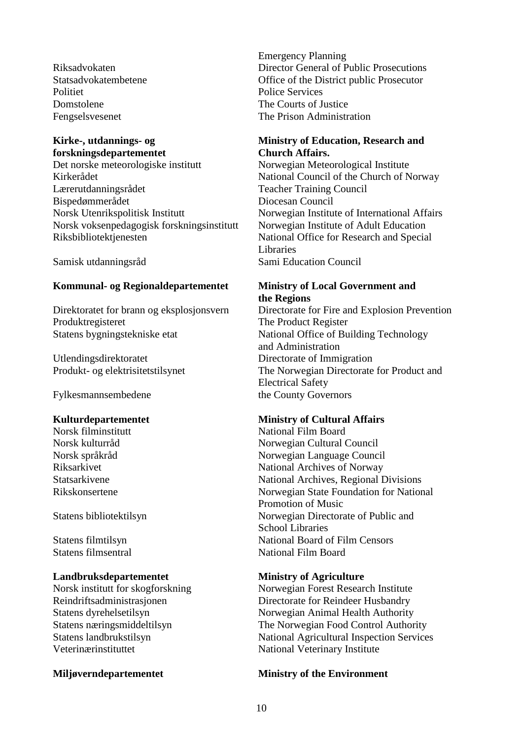Domstolene The Courts of Justice

# **Kirke-, utdannings- og**

**forskningsdepartementet**  Kirkerådet National Council of the Church of Norway Lærerutdanningsrådet Teacher Training Council<br>Bispedømmerådet Diocesan Council Bispedømmerådet Norsk Utenrikspolitisk Institutt Norwegian Institute of International Affairs Norsk voksenpedagogisk forskningsinstitutt Norwegian Institute of Adult Education<br>Riksbibliotektienesten Mational Office for Research and Specia

#### **Kommunal- og Regionaldepartementet Ministry of Local Government and**

Produktregisteret The Product Register<br>Statens bygningstekniske etat National Office of Bu

Utlendingsdirektoratet Directorate of Immigration<br>
Produkt- og elektrisitetstilsynet The Norwegian Directorate

Fylkesmannsembedene the County Governors

#### **Landbruksdepartementet Ministry of Agriculture**

Veterinærinstituttet National Veterinary Institute

Emergency Planning Riksadvokaten Director General of Public Prosecutions Statsadvokatembetene Office of the District public Prosecutor<br>Politiet Police Services Police Services Fengselsvesenet The Prison Administration

#### **Ministry of Education, Research and Church Affairs.**

Norwegian Meteorological Institute National Office for Research and Special Libraries Samisk utdanningsråd Sami Education Council

# **the Regions**

Direktoratet for brann og eksplosjonsvern Directorate for Fire and Explosion Prevention National Office of Building Technology and Administration The Norwegian Directorate for Product and Electrical Safety

# **Kulturdepartementet** Ministry of Cultural Affairs<br>
Norsk filminstitutt Norsk Rational Film Board

National Film Board Norsk kulturråd Norwegian Cultural Council Norsk språkråd Norwegian Language Council<br>Riksarkivet National Archives of Norway National Archives of Norway Statsarkivene National Archives, Regional Divisions Rikskonsertene Norwegian State Foundation for National Promotion of Music Statens bibliotektilsyn Norwegian Directorate of Public and School Libraries Statens filmtilsyn National Board of Film Censors<br>Statens filmsentral National Film Board National Film Board

Norsk institutt for skogforskning Norwegian Forest Research Institute Reindriftsadministrasjonen Directorate for Reindeer Husbandry Statens dyrehelsetilsyn Norwegian Animal Health Authority Statens næringsmiddeltilsyn The Norwegian Food Control Authority Statens landbrukstilsyn National Agricultural Inspection Services

#### **Miljøverndepartementet Ministry of the Environment**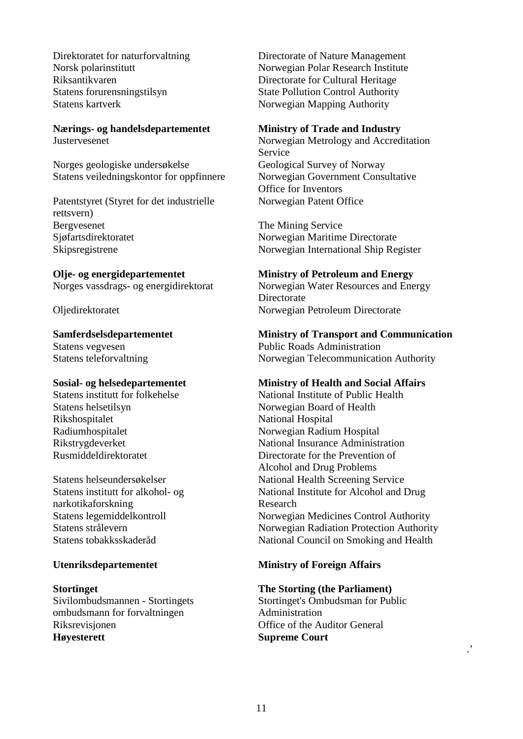Statens kartverk Norwegian Mapping Authority

# **Nærings- og handelsdepartementet Ministry of Trade and Industry**

Norges geologiske undersøkelse Geological Survey of Norway<br>Statens veiledningskontor for oppfinnere Norwegian Government Consultative Statens veiledningskontor for oppfinnere

Patentstyret (Styret for det industrielle rettsvern) Bergvesenet The Mining Service<br>
Sigfartsdirektoratet Norwegian Maritime Sjøfartsdirektoratet Norwegian Maritime Directorate<br>Skipsregistrene Norwegian International Ship Re

Rikshospitalet National Hospitalet<br>Radiumhospitalet Norwegian Radium

Statens institutt for alkohol- og narkotikaforskning

Sivilombudsmannen - Stortingets ombudsmann for forvaltningen Riksrevisjonen Office of the Auditor General **Høyesterett Supreme Court**

Direktoratet for naturforvaltning Directorate of Nature Management Norsk polarinstitutt Norwegian Polar Research Institute Riksantikvaren Directorate for Cultural Heritage<br>Statens forum Statens of State Pollution Control Authority State Pollution Control Authority

Justervesenet Norwegian Metrology and Accreditation Service Office for Inventors Norwegian Patent Office

Norwegian International Ship Register

# **Olje- og energidepartementet**<br> **Ministry of Petroleum and Energy**<br>
Norges vassdrags- og energidirektorat<br>
Norwegian Water Resources and Ene

Norwegian Water Resources and Energy Directorate Oljedirektoratet Norwegian Petroleum Directorate

#### **Samferdselsdepartementet Ministry of Transport and Communication**

Statens vegvesen Public Roads Administration Statens teleforvaltning Norwegian Telecommunication Authority

#### **Sosial- og helsedepartementet Ministry of Health and Social Affairs**

Statens institutt for folkehelse National Institute of Public Health Statens helsetilsyn Norwegian Board of Health<br>Rikshospitalet National Hospital Norwegian Radium Hospital Rikstrygdeverket National Insurance Administration<br>
Rusmiddeldirektoratet Directorate for the Prevention of Directorate for the Prevention of Alcohol and Drug Problems Statens helseundersøkelser National Health Screening Service National Institute for Alcohol and Drug Research Norwegian Medicines Control Authority Statens strålevern Norwegian Radiation Protection Authority Statens tobakksskaderåd National Council on Smoking and Health

#### **Utenriksdepartementet Ministry of Foreign Affairs**

#### **Stortinget The Storting (the Parliament)**

Stortinget's Ombudsman for Public Administration

.'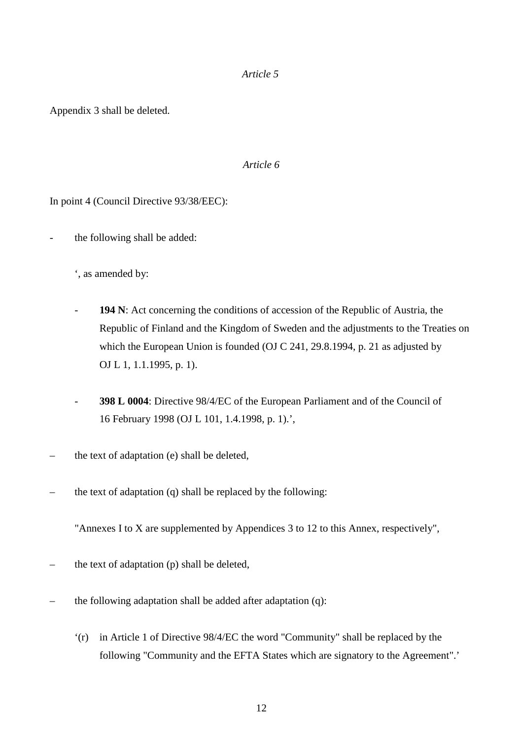Appendix 3 shall be deleted.

#### *Article 6*

In point 4 (Council Directive 93/38/EEC):

the following shall be added:

', as amended by:

- **194 N**: Act concerning the conditions of accession of the Republic of Austria, the Republic of Finland and the Kingdom of Sweden and the adjustments to the Treaties on which the European Union is founded (OJ C 241, 29.8.1994, p. 21 as adjusted by OJ L 1, 1.1.1995, p. 1).
- **398 L 0004**: Directive 98/4/EC of the European Parliament and of the Council of 16 February 1998 (OJ L 101, 1.4.1998, p. 1).',
- the text of adaptation (e) shall be deleted,
- the text of adaptation (q) shall be replaced by the following:

"Annexes I to X are supplemented by Appendices 3 to 12 to this Annex, respectively",

- the text of adaptation (p) shall be deleted,
- the following adaptation shall be added after adaptation (q):
	- '(r) in Article 1 of Directive 98/4/EC the word "Community" shall be replaced by the following "Community and the EFTA States which are signatory to the Agreement".'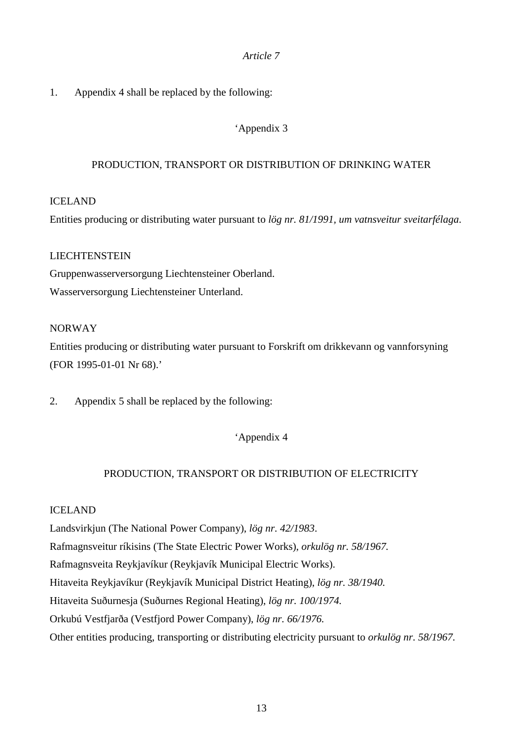### 1. Appendix 4 shall be replaced by the following:

### 'Appendix 3

#### PRODUCTION, TRANSPORT OR DISTRIBUTION OF DRINKING WATER

#### ICELAND

Entities producing or distributing water pursuant to *lög nr. 81/1991, um vatnsveitur sveitarfélaga*.

#### LIECHTENSTEIN

Gruppenwasserversorgung Liechtensteiner Oberland. Wasserversorgung Liechtensteiner Unterland.

#### NORWAY

Entities producing or distributing water pursuant to Forskrift om drikkevann og vannforsyning (FOR 1995-01-01 Nr 68).'

2. Appendix 5 shall be replaced by the following:

'Appendix 4

#### PRODUCTION, TRANSPORT OR DISTRIBUTION OF ELECTRICITY

#### ICELAND

Landsvirkjun (The National Power Company), *lög nr. 42/1983*.

Rafmagnsveitur ríkisins (The State Electric Power Works), *orkulög nr. 58/1967.*

Rafmagnsveita Reykjavíkur (Reykjavík Municipal Electric Works).

Hitaveita Reykjavíkur (Reykjavík Municipal District Heating), *lög nr. 38/1940.* 

Hitaveita Suðurnesja (Suðurnes Regional Heating), *lög nr. 100/1974.* 

Orkubú Vestfjarða (Vestfjord Power Company), *lög nr. 66/1976.* 

Other entities producing, transporting or distributing electricity pursuant to *orkulög nr. 58/1967.*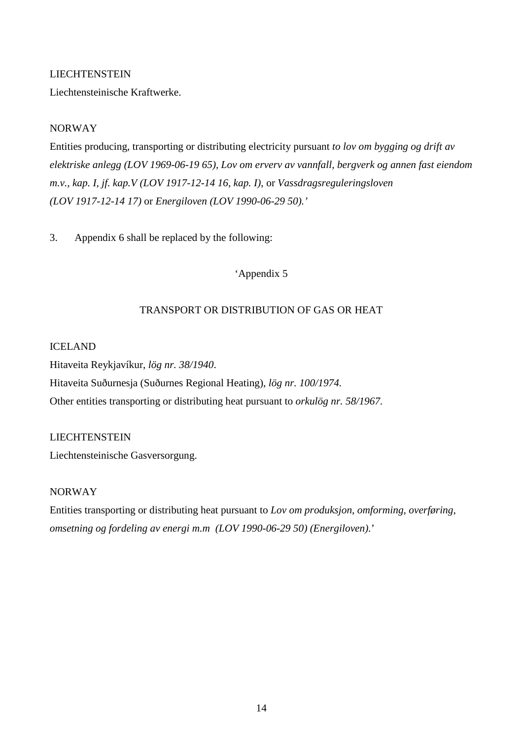#### LIECHTENSTEIN

Liechtensteinische Kraftwerke.

#### NORWAY

Entities producing, transporting or distributing electricity pursuant *to lov om bygging og drift av elektriske anlegg (LOV 1969-06-19 65), Lov om erverv av vannfall, bergverk og annen fast eiendom m.v., kap. I, jf. kap.V (LOV 1917-12-14 16, kap. I)*, or *Vassdragsreguleringsloven (LOV 1917-12-14 17)* or *Energiloven (LOV 1990-06-29 50).'*

3. Appendix 6 shall be replaced by the following:

'Appendix 5

#### TRANSPORT OR DISTRIBUTION OF GAS OR HEAT

#### ICELAND

Hitaveita Reykjavíkur, *lög nr. 38/1940*. Hitaveita Suðurnesja (Suðurnes Regional Heating), *lög nr. 100/1974.* Other entities transporting or distributing heat pursuant to *orkulög nr. 58/1967.*

#### LIECHTENSTEIN

Liechtensteinische Gasversorgung.

#### NORWAY

Entities transporting or distributing heat pursuant to *Lov om produksjon, omforming, overføring, omsetning og fordeling av energi m.m (LOV 1990-06-29 50) (Energiloven).*'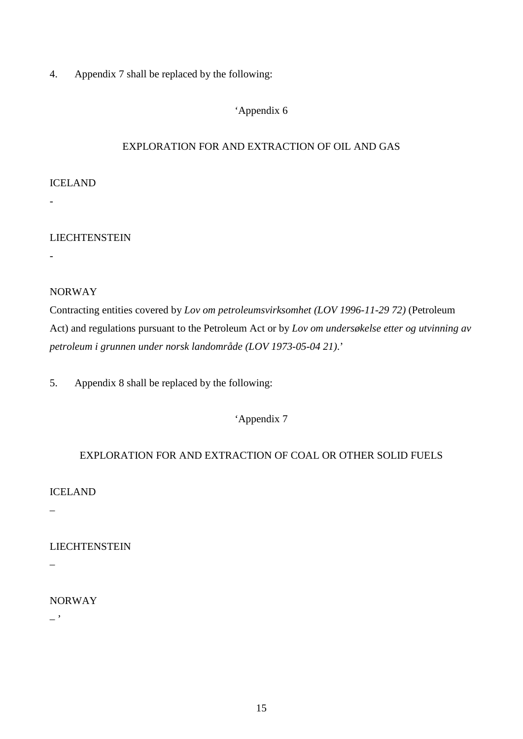4. Appendix 7 shall be replaced by the following:

#### 'Appendix 6

### EXPLORATION FOR AND EXTRACTION OF OIL AND GAS

#### ICELAND

#### LIECHTENSTEIN

-

-

### NORWAY

Contracting entities covered by *Lov om petroleumsvirksomhet (LOV 1996-11-29 72)* (Petroleum Act) and regulations pursuant to the Petroleum Act or by *Lov om undersøkelse etter og utvinning av petroleum i grunnen under norsk landområde (LOV 1973-05-04 21)*.'

5. Appendix 8 shall be replaced by the following:

### 'Appendix 7

### EXPLORATION FOR AND EXTRACTION OF COAL OR OTHER SOLID FUELS

ICELAND

–

#### LIECHTENSTEIN

 $\overline{a}$ 

### NORWAY

 $-$ '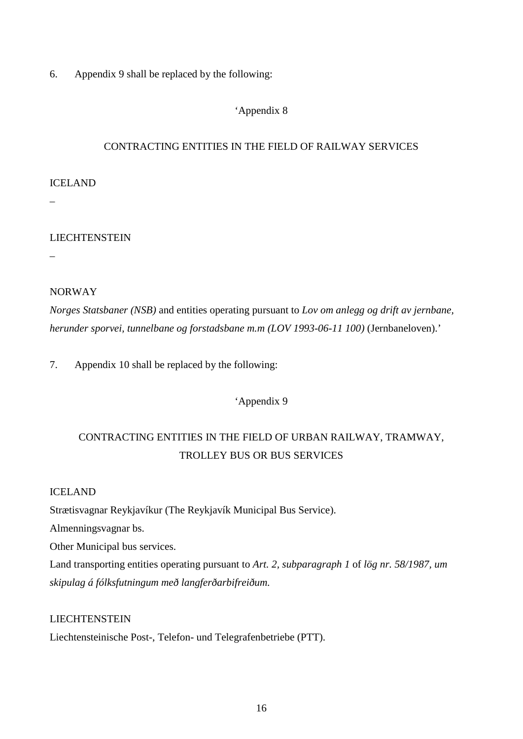6. Appendix 9 shall be replaced by the following:

### 'Appendix 8

### CONTRACTING ENTITIES IN THE FIELD OF RAILWAY SERVICES

#### ICELAND

–

### LIECHTENSTEIN

–

#### NORWAY

*Norges Statsbaner (NSB)* and entities operating pursuant to *Lov om anlegg og drift av jernbane, herunder sporvei, tunnelbane og forstadsbane m.m (LOV 1993-06-11 100)* (Jernbaneloven).'

7. Appendix 10 shall be replaced by the following:

'Appendix 9

## CONTRACTING ENTITIES IN THE FIELD OF URBAN RAILWAY, TRAMWAY, TROLLEY BUS OR BUS SERVICES

#### ICELAND

Strætisvagnar Reykjavíkur (The Reykjavík Municipal Bus Service).

Almenningsvagnar bs.

Other Municipal bus services.

Land transporting entities operating pursuant to *Art. 2, subparagraph 1* of *lög nr. 58/1987, um skipulag á fólksfutningum með langferðarbifreiðum.*

#### LIECHTENSTEIN

Liechtensteinische Post-, Telefon- und Telegrafenbetriebe (PTT).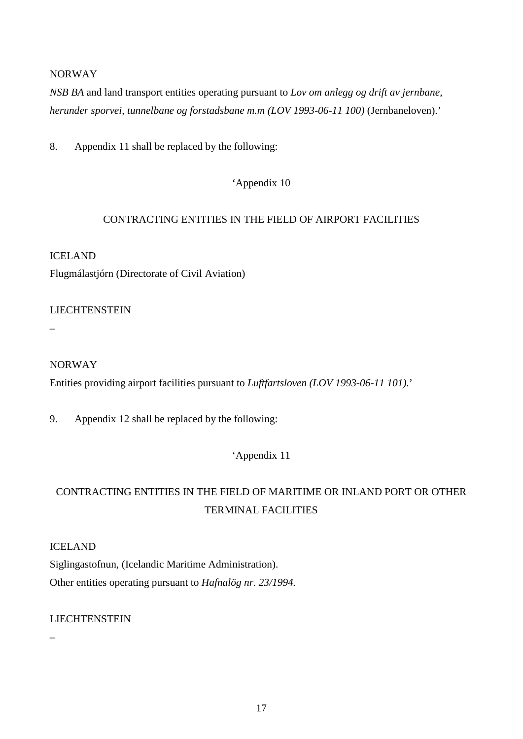#### NORWAY

*NSB BA* and land transport entities operating pursuant to *Lov om anlegg og drift av jernbane, herunder sporvei, tunnelbane og forstadsbane m.m (LOV 1993-06-11 100)* (Jernbaneloven).'

8. Appendix 11 shall be replaced by the following:

'Appendix 10

#### CONTRACTING ENTITIES IN THE FIELD OF AIRPORT FACILITIES

## ICELAND Flugmálastjórn (Directorate of Civil Aviation)

**LIECHTENSTEIN** 

–

### NORWAY

Entities providing airport facilities pursuant to *Luftfartsloven (LOV 1993-06-11 101)*.'

9. Appendix 12 shall be replaced by the following:

'Appendix 11

## CONTRACTING ENTITIES IN THE FIELD OF MARITIME OR INLAND PORT OR OTHER TERMINAL FACILITIES

ICELAND

Siglingastofnun, (Icelandic Maritime Administration). Other entities operating pursuant to *Hafnalög nr. 23/1994.*

### LIECHTENSTEIN

–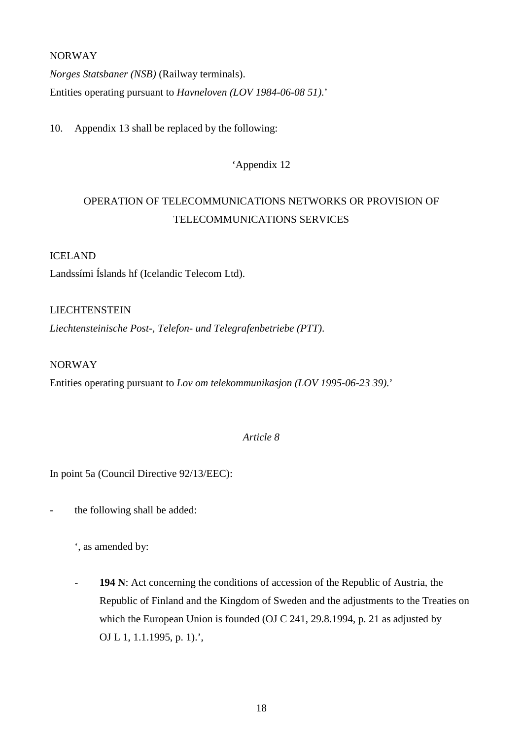#### NORWAY

*Norges Statsbaner (NSB)* (Railway terminals). Entities operating pursuant to *Havneloven (LOV 1984-06-08 51)*.'

10. Appendix 13 shall be replaced by the following:

### 'Appendix 12

## OPERATION OF TELECOMMUNICATIONS NETWORKS OR PROVISION OF TELECOMMUNICATIONS SERVICES

#### ICELAND

Landssími Íslands hf (Icelandic Telecom Ltd).

#### LIECHTENSTEIN

*Liechtensteinische Post-, Telefon- und Telegrafenbetriebe (PTT)*.

#### NORWAY

Entities operating pursuant to *Lov om telekommunikasjon (LOV 1995-06-23 39)*.'

### *Article 8*

In point 5a (Council Directive 92/13/EEC):

- the following shall be added:

', as amended by:

- **194 N**: Act concerning the conditions of accession of the Republic of Austria, the Republic of Finland and the Kingdom of Sweden and the adjustments to the Treaties on which the European Union is founded (OJ C 241, 29.8.1994, p. 21 as adjusted by OJ L 1, 1.1.1995, p. 1).',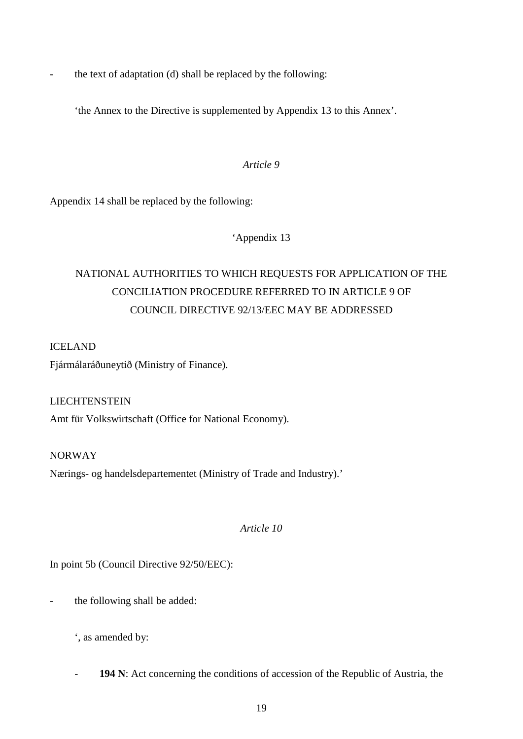- the text of adaptation (d) shall be replaced by the following:

'the Annex to the Directive is supplemented by Appendix 13 to this Annex'.

#### *Article 9*

Appendix 14 shall be replaced by the following:

### 'Appendix 13

# NATIONAL AUTHORITIES TO WHICH REQUESTS FOR APPLICATION OF THE CONCILIATION PROCEDURE REFERRED TO IN ARTICLE 9 OF COUNCIL DIRECTIVE 92/13/EEC MAY BE ADDRESSED

### ICELAND

Fjármálaráðuneytið (Ministry of Finance).

LIECHTENSTEIN Amt für Volkswirtschaft (Office for National Economy).

NORWAY Nærings- og handelsdepartementet (Ministry of Trade and Industry).'

*Article 10*

In point 5b (Council Directive 92/50/EEC):

the following shall be added:

', as amended by:

194 N: Act concerning the conditions of accession of the Republic of Austria, the